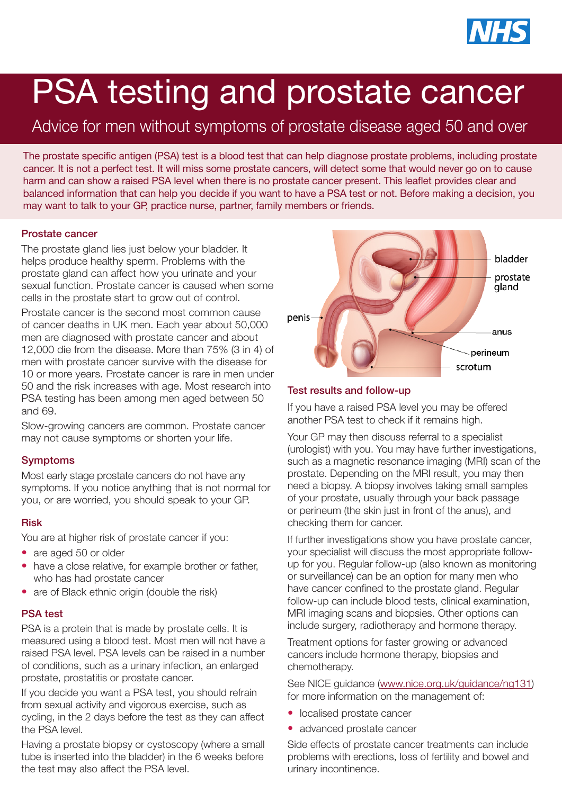

# PSA testing and prostate cancer

Advice for men without symptoms of prostate disease aged 50 and over

The prostate specific antigen (PSA) test is a blood test that can help diagnose prostate problems, including prostate cancer. It is not a perfect test. It will miss some prostate cancers, will detect some that would never go on to cause harm and can show a raised PSA level when there is no prostate cancer present. This leaflet provides clear and balanced information that can help you decide if you want to have a PSA test or not. Before making a decision, you may want to talk to your GP, practice nurse, partner, family members or friends.

## Prostate cancer

The prostate gland lies just below your bladder. It helps produce healthy sperm. Problems with the prostate gland can affect how you urinate and your sexual function. Prostate cancer is caused when some cells in the prostate start to grow out of control.

Prostate cancer is the second most common cause of cancer deaths in UK men. Each year about 50,000 men are diagnosed with prostate cancer and about 12,000 die from the disease. More than 75% (3 in 4) of men with prostate cancer survive with the disease for 10 or more years. Prostate cancer is rare in men under 50 and the risk increases with age. Most research into PSA testing has been among men aged between 50 and 69.

Slow-growing cancers are common. Prostate cancer may not cause symptoms or shorten your life.

# Symptoms

Most early stage prostate cancers do not have any symptoms. If you notice anything that is not normal for you, or are worried, you should speak to your GP.

## Risk

You are at higher risk of prostate cancer if you:

- are aged 50 or older
- have a close relative, for example brother or father, who has had prostate cancer
- are of Black ethnic origin (double the risk)

## PSA test

PSA is a protein that is made by prostate cells. It is measured using a blood test. Most men will not have a raised PSA level. PSA levels can be raised in a number of conditions, such as a urinary infection, an enlarged prostate, prostatitis or prostate cancer.

If you decide you want a PSA test, you should refrain from sexual activity and vigorous exercise, such as cycling, in the 2 days before the test as they can affect the PSA level.

Having a prostate biopsy or cystoscopy (where a small tube is inserted into the bladder) in the 6 weeks before the test may also affect the PSA level.



# Test results and follow-up

If you have a raised PSA level you may be offered another PSA test to check if it remains high.

Your GP may then discuss referral to a specialist (urologist) with you. You may have further investigations, such as a magnetic resonance imaging (MRI) scan of the prostate. Depending on the MRI result, you may then need a biopsy. A biopsy involves taking small samples of your prostate, usually through your back passage or perineum (the skin just in front of the anus), and checking them for cancer.

If further investigations show you have prostate cancer, your specialist will discuss the most appropriate followup for you. Regular follow-up (also known as monitoring or surveillance) can be an option for many men who have cancer confined to the prostate gland. Regular follow-up can include blood tests, clinical examination, MRI imaging scans and biopsies. Other options can include surgery, radiotherapy and hormone therapy.

Treatment options for faster growing or advanced cancers include hormone therapy, biopsies and chemotherapy.

See NICE guidance ([www.nice.org.uk/guidance/ng131](http://www.nice.org.uk/guidance/ng131)) for more information on the management of:

- localised prostate cancer
- advanced prostate cancer

Side effects of prostate cancer treatments can include problems with erections, loss of fertility and bowel and urinary incontinence.